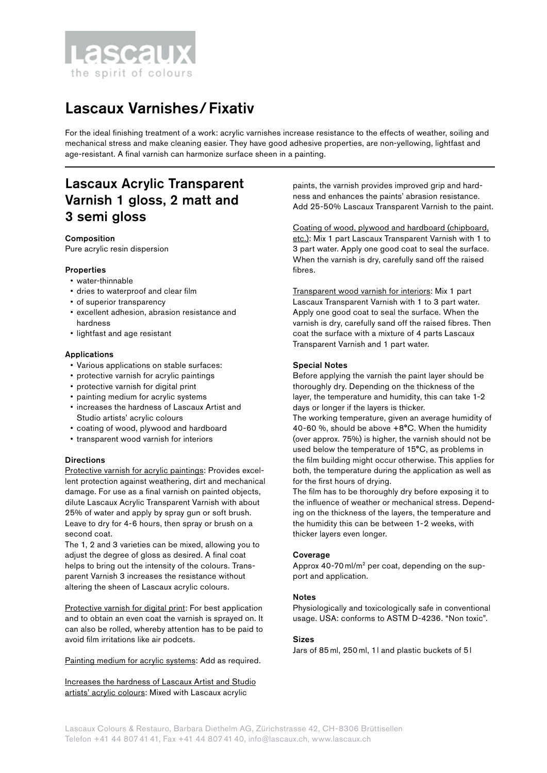

# Lascaux Varnishes/Fixativ

For the ideal finishing treatment of a work: acrylic varnishes increase resistance to the effects of weather, soiling and mechanical stress and make cleaning easier. They have good adhesive properties, are non-yellowing, lightfast and age-resistant. A final varnish can harmonize surface sheen in a painting.

## Lascaux Acrylic Transparent Varnish 1 gloss, 2 matt and 3 semi gloss

## Composition

Pure acrylic resin dispersion

## **Properties**

- water-thinnable
- dries to waterproof and clear film
- of superior transparency
- excellent adhesion, abrasion resistance and hardness
- lightfast and age resistant

## Applications

- Various applications on stable surfaces:
- protective varnish for acrylic paintings
- protective varnish for digital print
- painting medium for acrylic systems
- increases the hardness of Lascaux Artist and Studio artists' acrylic colours
- coating of wood, plywood and hardboard
- transparent wood varnish for interiors

## **Directions**

Protective varnish for acrylic paintings: Provides excellent protection against weathering, dirt and mechanical damage. For use as a final varnish on painted objects, dilute Lascaux Acrylic Transparent Varnish with about 25% of water and apply by spray gun or soft brush. Leave to dry for 4-6 hours, then spray or brush on a second coat.

The 1, 2 and 3 varieties can be mixed, allowing you to adjust the degree of gloss as desired. A final coat helps to bring out the intensity of the colours. Transparent Varnish 3 increases the resistance without altering the sheen of Lascaux acrylic colours.

Protective varnish for digital print: For best application and to obtain an even coat the varnish is sprayed on. It can also be rolled, whereby attention has to be paid to avoid film irritations like air podcets.

Painting medium for acrylic systems: Add as required.

Increases the hardness of Lascaux Artist and Studio artists' acrylic colours: Mixed with Lascaux acrylic

paints, the varnish provides improved grip and hardness and enhances the paints' abrasion resistance. Add 25-50% Lascaux Transparent Varnish to the paint.

Coating of wood, plywood and hardboard (chipboard, etc.): Mix 1 part Lascaux Transparent Varnish with 1 to 3 part water. Apply one good coat to seal the surface. When the varnish is dry, carefully sand off the raised fibres.

Transparent wood varnish for interiors: Mix 1 part Lascaux Transparent Varnish with 1 to 3 part water. Apply one good coat to seal the surface. When the varnish is dry, carefully sand off the raised fibres. Then coat the surface with a mixture of 4 parts Lascaux Transparent Varnish and 1 part water.

## Special Notes

Before applying the varnish the paint layer should be thoroughly dry. Depending on the thickness of the layer, the temperature and humidity, this can take 1-2 days or longer if the layers is thicker.

The working temperature, given an average humidity of 40-60 %, should be above +8°C. When the humidity (over approx. 75%) is higher, the varnish should not be used below the temperature of 15°C, as problems in the film building might occur otherwise. This applies for both, the temperature during the application as well as for the first hours of drying.

The film has to be thoroughly dry before exposing it to the influence of weather or mechanical stress. Depending on the thickness of the layers, the temperature and the humidity this can be between 1-2 weeks, with thicker layers even longer.

## Coverage

Approx 40-70ml/m2 per coat, depending on the support and application.

#### Notes

Physiologically and toxicologically safe in conventional usage. USA: conforms to ASTM D-4236. "Non toxic".

## Sizes

Jars of 85ml, 250ml, 1l and plastic buckets of 5 l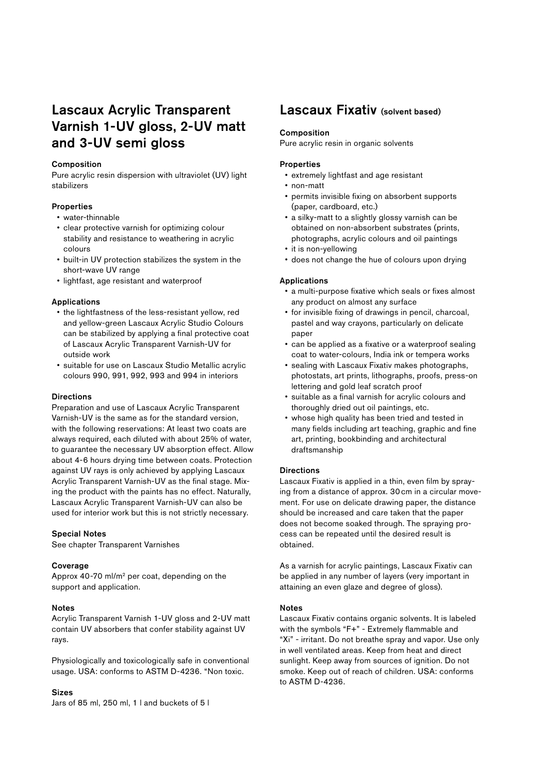## Lascaux Acrylic Transparent Varnish 1-UV gloss, 2-UV matt and 3-UV semi gloss

#### Composition

Pure acrylic resin dispersion with ultraviolet (UV) light stabilizers

### **Properties**

- water-thinnable
- clear protective varnish for optimizing colour stability and resistance to weathering in acrylic colours
- built-in UV protection stabilizes the system in the short-wave UV range
- lightfast, age resistant and waterproof

#### Applications

- the lightfastness of the less-resistant yellow, red and yellow-green Lascaux Acrylic Studio Colours can be stabilized by applying a final protective coat of Lascaux Acrylic Transparent Varnish-UV for outside work
- suitable for use on Lascaux Studio Metallic acrylic colours 990, 991, 992, 993 and 994 in interiors

#### **Directions**

Preparation and use of Lascaux Acrylic Transparent Varnish-UV is the same as for the standard version, with the following reservations: At least two coats are always required, each diluted with about 25% of water, to guarantee the necessary UV absorption effect. Allow about 4-6 hours drying time between coats. Protection against UV rays is only achieved by applying Lascaux Acrylic Transparent Varnish-UV as the final stage. Mixing the product with the paints has no effect. Naturally, Lascaux Acrylic Transparent Varnish-UV can also be used for interior work but this is not strictly necessary.

### Special Notes

See chapter Transparent Varnishes

#### Coverage

Approx 40-70 ml/m2 per coat, depending on the support and application.

#### Notes

Acrylic Transparent Varnish 1-UV gloss and 2-UV matt contain UV absorbers that confer stability against UV rays.

Physiologically and toxicologically safe in conventional usage. USA: conforms to ASTM D-4236. "Non toxic.

#### Sizes

Jars of 85 ml, 250 ml, 1 l and buckets of 5 l

## Lascaux Fixativ (solvent based)

#### Composition

Pure acrylic resin in organic solvents

## Properties

- extremely lightfast and age resistant
- non-matt
- permits invisible fixing on absorbent supports (paper, cardboard, etc.)
- a silky-matt to a slightly glossy varnish can be obtained on non-absorbent substrates (prints, photographs, acrylic colours and oil paintings
- it is non-yellowing
- does not change the hue of colours upon drying

#### Applications

- a multi-purpose fixative which seals or fixes almost any product on almost any surface
- for invisible fixing of drawings in pencil, charcoal, pastel and way crayons, particularly on delicate paper
- can be applied as a fixative or a waterproof sealing coat to water-colours, India ink or tempera works
- sealing with Lascaux Fixativ makes photographs, photostats, art prints, lithographs, proofs, press-on lettering and gold leaf scratch proof
- suitable as a final varnish for acrylic colours and thoroughly dried out oil paintings, etc.
- whose high quality has been tried and tested in many fields including art teaching, graphic and fine art, printing, bookbinding and architectural draftsmanship

#### **Directions**

Lascaux Fixativ is applied in a thin, even film by spraying from a distance of approx. 30 cm in a circular movement. For use on delicate drawing paper, the distance should be increased and care taken that the paper does not become soaked through. The spraying process can be repeated until the desired result is obtained.

As a varnish for acrylic paintings, Lascaux Fixativ can be applied in any number of layers (very important in attaining an even glaze and degree of gloss).

#### Notes

Lascaux Fixativ contains organic solvents. It is labeled with the symbols "F+" - Extremely flammable and "Xi" - irritant. Do not breathe spray and vapor. Use only in well ventilated areas. Keep from heat and direct sunlight. Keep away from sources of ignition. Do not smoke. Keep out of reach of children. USA: conforms to ASTM D-4236.